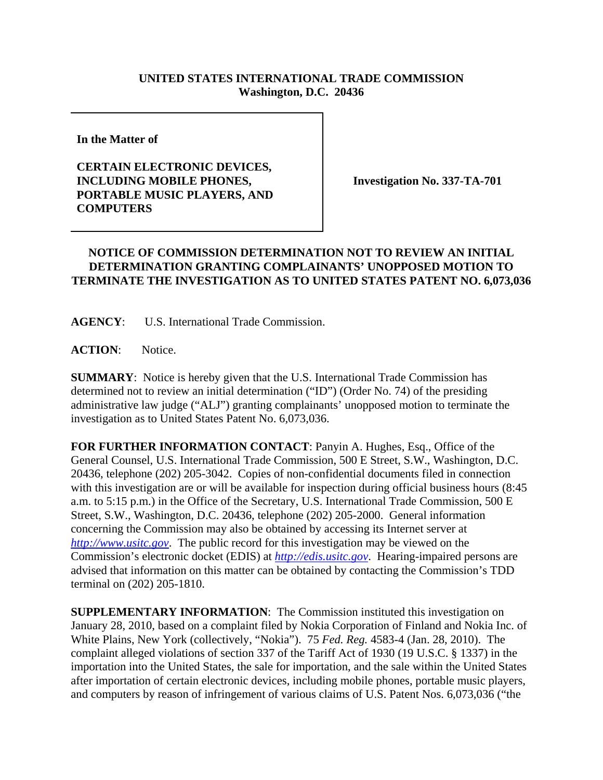## **UNITED STATES INTERNATIONAL TRADE COMMISSION Washington, D.C. 20436**

**In the Matter of** 

## **CERTAIN ELECTRONIC DEVICES, INCLUDING MOBILE PHONES, PORTABLE MUSIC PLAYERS, AND COMPUTERS**

**Investigation No. 337-TA-701**

## **NOTICE OF COMMISSION DETERMINATION NOT TO REVIEW AN INITIAL DETERMINATION GRANTING COMPLAINANTS' UNOPPOSED MOTION TO TERMINATE THE INVESTIGATION AS TO UNITED STATES PATENT NO. 6,073,036**

**AGENCY**: U.S. International Trade Commission.

ACTION: Notice.

**SUMMARY**: Notice is hereby given that the U.S. International Trade Commission has determined not to review an initial determination ("ID") (Order No. 74) of the presiding administrative law judge ("ALJ") granting complainants' unopposed motion to terminate the investigation as to United States Patent No. 6,073,036.

**FOR FURTHER INFORMATION CONTACT**: Panyin A. Hughes, Esq., Office of the General Counsel, U.S. International Trade Commission, 500 E Street, S.W., Washington, D.C. 20436, telephone (202) 205-3042. Copies of non-confidential documents filed in connection with this investigation are or will be available for inspection during official business hours (8:45 a.m. to 5:15 p.m.) in the Office of the Secretary, U.S. International Trade Commission, 500 E Street, S.W., Washington, D.C. 20436, telephone (202) 205-2000. General information concerning the Commission may also be obtained by accessing its Internet server at *http://www.usitc.gov*. The public record for this investigation may be viewed on the Commission's electronic docket (EDIS) at *http://edis.usitc.gov*. Hearing-impaired persons are advised that information on this matter can be obtained by contacting the Commission's TDD terminal on (202) 205-1810.

**SUPPLEMENTARY INFORMATION**: The Commission instituted this investigation on January 28, 2010, based on a complaint filed by Nokia Corporation of Finland and Nokia Inc. of White Plains, New York (collectively, "Nokia"). 75 *Fed. Reg.* 4583-4 (Jan. 28, 2010). The complaint alleged violations of section 337 of the Tariff Act of 1930 (19 U.S.C. § 1337) in the importation into the United States, the sale for importation, and the sale within the United States after importation of certain electronic devices, including mobile phones, portable music players, and computers by reason of infringement of various claims of U.S. Patent Nos. 6,073,036 ("the